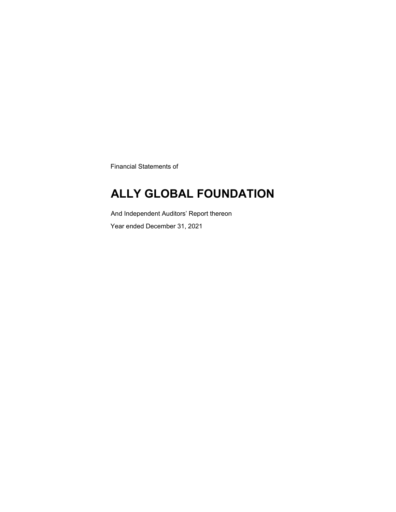Financial Statements of

### **ALLY GLOBAL FOUNDATION**

And Independent Auditors' Report thereon

Year ended December 31, 2021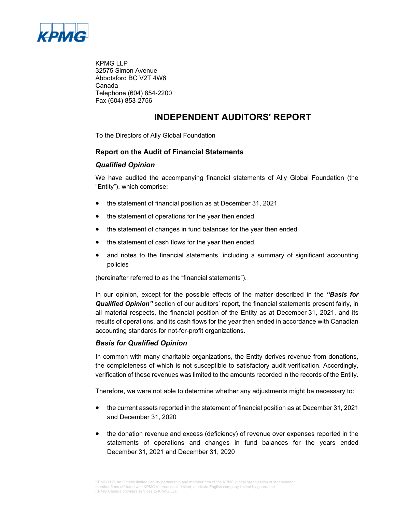

KPMG LLP 32575 Simon Avenue Abbotsford BC V2T 4W6 Canada Telephone (604) 854-2200 Fax (604) 853-2756

### **INDEPENDENT AUDITORS' REPORT**

To the Directors of Ally Global Foundation

#### **Report on the Audit of Financial Statements**

#### *Qualified Opinion*

We have audited the accompanying financial statements of Ally Global Foundation (the "Entity"), which comprise:

- the statement of financial position as at December 31, 2021
- the statement of operations for the year then ended
- the statement of changes in fund balances for the year then ended
- the statement of cash flows for the year then ended
- and notes to the financial statements, including a summary of significant accounting policies

(hereinafter referred to as the "financial statements").

In our opinion, except for the possible effects of the matter described in the *"Basis for Qualified Opinion"* section of our auditors' report, the financial statements present fairly, in all material respects, the financial position of the Entity as at December 31, 2021, and its results of operations, and its cash flows for the year then ended in accordance with Canadian accounting standards for not-for-profit organizations.

#### *Basis for Qualified Opinion*

In common with many charitable organizations, the Entity derives revenue from donations, the completeness of which is not susceptible to satisfactory audit verification. Accordingly, verification of these revenues was limited to the amounts recorded in the records of the Entity.

Therefore, we were not able to determine whether any adjustments might be necessary to:

- the current assets reported in the statement of financial position as at December 31, 2021 and December 31, 2020
- the donation revenue and excess (deficiency) of revenue over expenses reported in the statements of operations and changes in fund balances for the years ended December 31, 2021 and December 31, 2020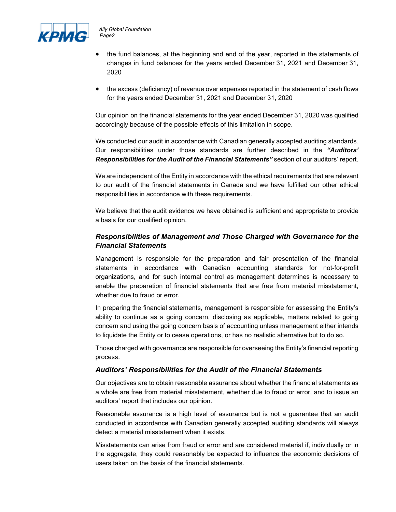

- the fund balances, at the beginning and end of the year, reported in the statements of changes in fund balances for the years ended December 31, 2021 and December 31, 2020
- the excess (deficiency) of revenue over expenses reported in the statement of cash flows for the years ended December 31, 2021 and December 31, 2020

Our opinion on the financial statements for the year ended December 31, 2020 was qualified accordingly because of the possible effects of this limitation in scope.

We conducted our audit in accordance with Canadian generally accepted auditing standards. Our responsibilities under those standards are further described in the *"Auditors' Responsibilities for the Audit of the Financial Statements"* section of our auditors' report.

We are independent of the Entity in accordance with the ethical requirements that are relevant to our audit of the financial statements in Canada and we have fulfilled our other ethical responsibilities in accordance with these requirements.

We believe that the audit evidence we have obtained is sufficient and appropriate to provide a basis for our qualified opinion.

#### *Responsibilities of Management and Those Charged with Governance for the Financial Statements*

Management is responsible for the preparation and fair presentation of the financial statements in accordance with Canadian accounting standards for not-for-profit organizations, and for such internal control as management determines is necessary to enable the preparation of financial statements that are free from material misstatement, whether due to fraud or error.

In preparing the financial statements, management is responsible for assessing the Entity's ability to continue as a going concern, disclosing as applicable, matters related to going concern and using the going concern basis of accounting unless management either intends to liquidate the Entity or to cease operations, or has no realistic alternative but to do so.

Those charged with governance are responsible for overseeing the Entity's financial reporting process.

#### *Auditors' Responsibilities for the Audit of the Financial Statements*

Our objectives are to obtain reasonable assurance about whether the financial statements as a whole are free from material misstatement, whether due to fraud or error, and to issue an auditors' report that includes our opinion.

Reasonable assurance is a high level of assurance but is not a guarantee that an audit conducted in accordance with Canadian generally accepted auditing standards will always detect a material misstatement when it exists.

Misstatements can arise from fraud or error and are considered material if, individually or in the aggregate, they could reasonably be expected to influence the economic decisions of users taken on the basis of the financial statements.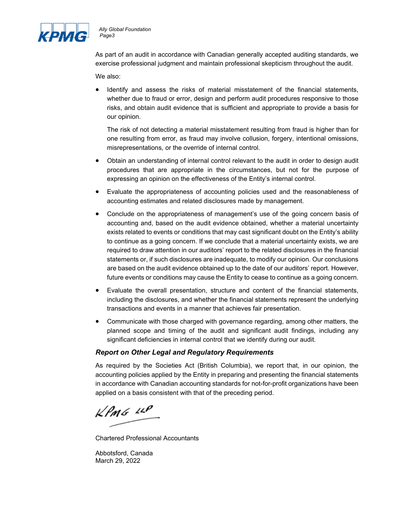

As part of an audit in accordance with Canadian generally accepted auditing standards, we exercise professional judgment and maintain professional skepticism throughout the audit.

We also:

 Identify and assess the risks of material misstatement of the financial statements, whether due to fraud or error, design and perform audit procedures responsive to those risks, and obtain audit evidence that is sufficient and appropriate to provide a basis for our opinion.

The risk of not detecting a material misstatement resulting from fraud is higher than for one resulting from error, as fraud may involve collusion, forgery, intentional omissions, misrepresentations, or the override of internal control.

- Obtain an understanding of internal control relevant to the audit in order to design audit procedures that are appropriate in the circumstances, but not for the purpose of expressing an opinion on the effectiveness of the Entity's internal control.
- Evaluate the appropriateness of accounting policies used and the reasonableness of accounting estimates and related disclosures made by management.
- Conclude on the appropriateness of management's use of the going concern basis of accounting and, based on the audit evidence obtained, whether a material uncertainty exists related to events or conditions that may cast significant doubt on the Entity's ability to continue as a going concern. If we conclude that a material uncertainty exists, we are required to draw attention in our auditors' report to the related disclosures in the financial statements or, if such disclosures are inadequate, to modify our opinion. Our conclusions are based on the audit evidence obtained up to the date of our auditors' report. However, future events or conditions may cause the Entity to cease to continue as a going concern.
- Evaluate the overall presentation, structure and content of the financial statements, including the disclosures, and whether the financial statements represent the underlying transactions and events in a manner that achieves fair presentation.
- Communicate with those charged with governance regarding, among other matters, the planned scope and timing of the audit and significant audit findings, including any significant deficiencies in internal control that we identify during our audit.

#### *Report on Other Legal and Regulatory Requirements*

As required by the Societies Act (British Columbia), we report that, in our opinion, the accounting policies applied by the Entity in preparing and presenting the financial statements in accordance with Canadian accounting standards for not-for-profit organizations have been applied on a basis consistent with that of the preceding period.

 $k$ *PMG*  $44$ 

Chartered Professional Accountants

Abbotsford, Canada March 29, 2022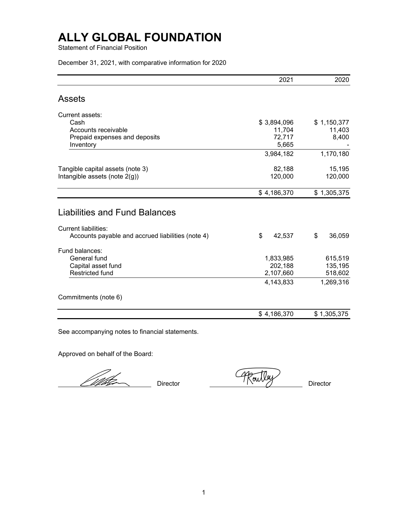Statement of Financial Position

December 31, 2021, with comparative information for 2020

|                                                                                                                          | 2021                   | 2020                  |
|--------------------------------------------------------------------------------------------------------------------------|------------------------|-----------------------|
| <b>Assets</b>                                                                                                            |                        |                       |
| Current assets:                                                                                                          |                        |                       |
| Cash                                                                                                                     | \$3,894,096            | \$1,150,377           |
| Accounts receivable                                                                                                      | 11,704                 | 11,403                |
| Prepaid expenses and deposits                                                                                            | 72,717                 | 8,400                 |
| Inventory                                                                                                                | 5,665                  |                       |
|                                                                                                                          | 3,984,182              | 1,170,180             |
| Tangible capital assets (note 3)                                                                                         | 82,188                 | 15,195                |
| Intangible assets (note $2(q)$ )                                                                                         | 120,000                | 120,000               |
|                                                                                                                          |                        |                       |
|                                                                                                                          | \$4,186,370            |                       |
| <b>Liabilities and Fund Balances</b><br><b>Current liabilities:</b><br>Accounts payable and accrued liabilities (note 4) | \$<br>42,537           | \$                    |
|                                                                                                                          |                        | \$1,305,375<br>36,059 |
| Fund balances:                                                                                                           |                        |                       |
| General fund                                                                                                             | 1,833,985              | 615,519               |
| Capital asset fund<br><b>Restricted fund</b>                                                                             | 202,188                | 135,195               |
|                                                                                                                          | 2,107,660<br>4,143,833 |                       |
| Commitments (note 6)                                                                                                     |                        | 518,602<br>1,269,316  |

See accompanying notes to financial statements.

Approved on behalf of the Board:

Wih<del>le</del>

Director (*Abeutley* Director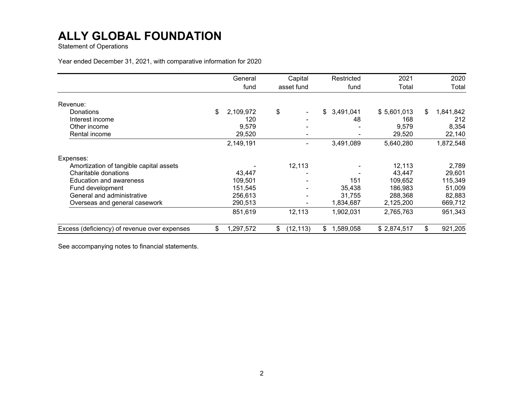Statement of Operations

Year ended December 31, 2021, with comparative information for 2020

|                                              | General         | Capital         | Restricted      | 2021        | 2020            |
|----------------------------------------------|-----------------|-----------------|-----------------|-------------|-----------------|
|                                              | fund            | asset fund      | fund            | Total       | Total           |
| Revenue:                                     |                 |                 |                 |             |                 |
| Donations                                    | 2,109,972<br>\$ | \$              | 3,491,041<br>\$ | \$5,601,013 | \$<br>1,841,842 |
| Interest income                              | 120             |                 | 48              | 168         | 212             |
| Other income                                 | 9,579           |                 |                 | 9,579       | 8,354           |
| Rental income                                | 29,520          |                 |                 | 29,520      | 22,140          |
|                                              | 2,149,191       |                 | 3,491,089       | 5,640,280   | 1,872,548       |
| Expenses:                                    |                 |                 |                 |             |                 |
| Amortization of tangible capital assets      |                 | 12,113          |                 | 12,113      | 2,789           |
| Charitable donations                         | 43,447          |                 |                 | 43,447      | 29,601          |
| <b>Education and awareness</b>               | 109,501         |                 | 151             | 109,652     | 115,349         |
| Fund development                             | 151,545         |                 | 35,438          | 186,983     | 51,009          |
| General and administrative                   | 256,613         |                 | 31,755          | 288,368     | 82,883          |
| Overseas and general casework                | 290,513         |                 | 1,834,687       | 2,125,200   | 669,712         |
|                                              | 851,619         | 12,113          | 1,902,031       | 2,765,763   | 951,343         |
| Excess (deficiency) of revenue over expenses | \$<br>1,297,572 | (12, 113)<br>\$ | 1,589,058<br>\$ | \$2,874,517 | \$<br>921,205   |

See accompanying notes to financial statements.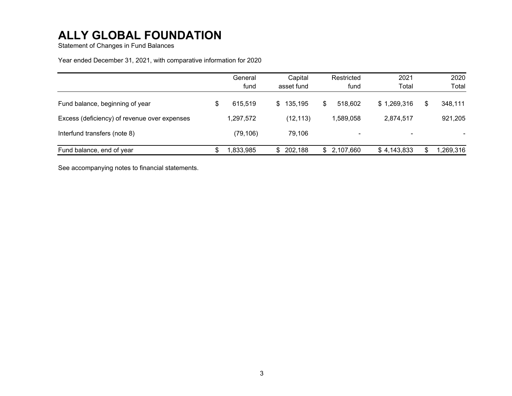Statement of Changes in Fund Balances

#### Year ended December 31, 2021, with comparative information for 2020

|                                              | General<br>fund | Capital<br>asset fund |     | Restricted<br>fund | 2021<br>Total |   | 2020<br>Total |
|----------------------------------------------|-----------------|-----------------------|-----|--------------------|---------------|---|---------------|
| Fund balance, beginning of year              | 615.519         | \$135,195             | \$. | 518.602            | \$1,269,316   |   | 348,111       |
| Excess (deficiency) of revenue over expenses | 1,297,572       | (12, 113)             |     | 1,589,058          | 2,874,517     |   | 921,205       |
| Interfund transfers (note 8)                 | (79, 106)       | 79,106                |     | -                  | ۰             |   |               |
| Fund balance, end of year                    | 1,833,985       | \$202,188             |     | \$2,107,660        | \$4,143,833   | S | 1,269,316     |

See accompanying notes to financial statements.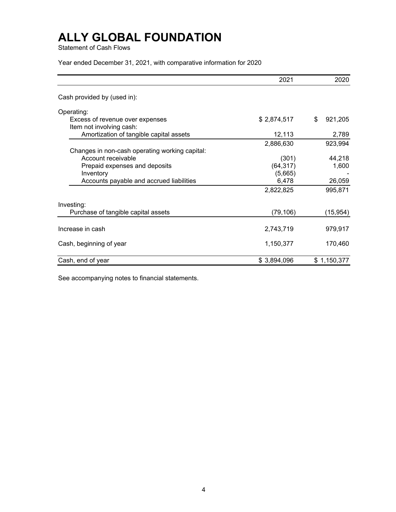Statement of Cash Flows

Year ended December 31, 2021, with comparative information for 2020

|                                                             | 2021        | 2020          |
|-------------------------------------------------------------|-------------|---------------|
| Cash provided by (used in):                                 |             |               |
| Operating:                                                  |             |               |
| Excess of revenue over expenses<br>Item not involving cash: | \$2,874,517 | \$<br>921,205 |
| Amortization of tangible capital assets                     | 12,113      | 2,789         |
|                                                             | 2,886,630   | 923,994       |
| Changes in non-cash operating working capital:              |             |               |
| Account receivable                                          | (301)       | 44,218        |
| Prepaid expenses and deposits                               | (64, 317)   | 1,600         |
| Inventory                                                   | (5,665)     |               |
| Accounts payable and accrued liabilities                    | 6,478       | 26,059        |
|                                                             | 2,822,825   | 995,871       |
| Investing:                                                  |             |               |
| Purchase of tangible capital assets                         | (79, 106)   | (15, 954)     |
|                                                             |             |               |
| Increase in cash                                            | 2,743,719   | 979,917       |
| Cash, beginning of year                                     | 1,150,377   | 170,460       |
| Cash, end of year                                           | \$3,894,096 | \$1,150,377   |

See accompanying notes to financial statements.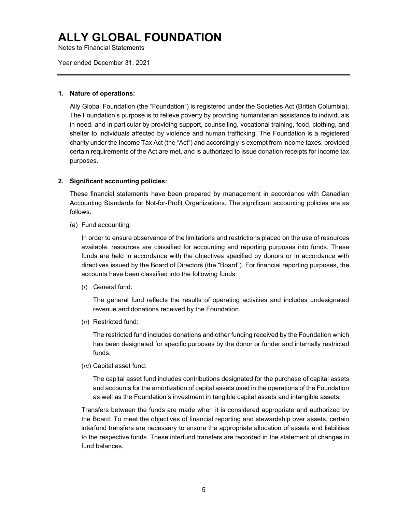Notes to Financial Statements

Year ended December 31, 2021

#### **1. Nature of operations:**

Ally Global Foundation (the "Foundation") is registered under the Societies Act (British Columbia). The Foundation's purpose is to relieve poverty by providing humanitarian assistance to individuals in need, and in particular by providing support, counselling, vocational training, food, clothing, and shelter to individuals affected by violence and human trafficking. The Foundation is a registered charity under the Income Tax Act (the "Act") and accordingly is exempt from income taxes, provided certain requirements of the Act are met, and is authorized to issue donation receipts for income tax purposes.

#### **2. Significant accounting policies:**

These financial statements have been prepared by management in accordance with Canadian Accounting Standards for Not-for-Profit Organizations. The significant accounting policies are as follows:

(a) Fund accounting:

In order to ensure observance of the limitations and restrictions placed on the use of resources available, resources are classified for accounting and reporting purposes into funds. These funds are held in accordance with the objectives specified by donors or in accordance with directives issued by the Board of Directors (the "Board"). For financial reporting purposes, the accounts have been classified into the following funds:

(*i*) General fund:

The general fund reflects the results of operating activities and includes undesignated revenue and donations received by the Foundation.

(*ii*) Restricted fund:

The restricted fund includes donations and other funding received by the Foundation which has been designated for specific purposes by the donor or funder and internally restricted funds.

(*iii*) Capital asset fund:

The capital asset fund includes contributions designated for the purchase of capital assets and accounts for the amortization of capital assets used in the operations of the Foundation as well as the Foundation's investment in tangible capital assets and intangible assets.

Transfers between the funds are made when it is considered appropriate and authorized by the Board. To meet the objectives of financial reporting and stewardship over assets, certain interfund transfers are necessary to ensure the appropriate allocation of assets and liabilities to the respective funds. These interfund transfers are recorded in the statement of changes in fund balances.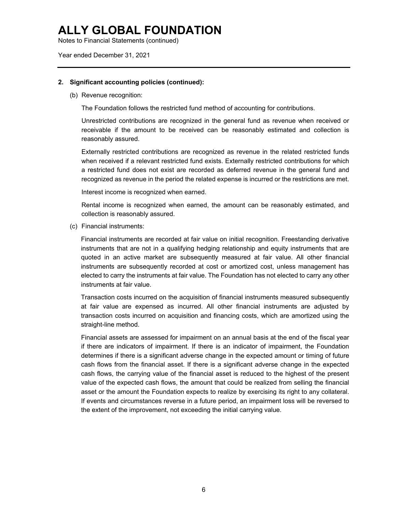Notes to Financial Statements (continued)

Year ended December 31, 2021

#### **2. Significant accounting policies (continued):**

(b) Revenue recognition:

The Foundation follows the restricted fund method of accounting for contributions.

Unrestricted contributions are recognized in the general fund as revenue when received or receivable if the amount to be received can be reasonably estimated and collection is reasonably assured.

Externally restricted contributions are recognized as revenue in the related restricted funds when received if a relevant restricted fund exists. Externally restricted contributions for which a restricted fund does not exist are recorded as deferred revenue in the general fund and recognized as revenue in the period the related expense is incurred or the restrictions are met.

Interest income is recognized when earned.

Rental income is recognized when earned, the amount can be reasonably estimated, and collection is reasonably assured.

(c) Financial instruments:

Financial instruments are recorded at fair value on initial recognition. Freestanding derivative instruments that are not in a qualifying hedging relationship and equity instruments that are quoted in an active market are subsequently measured at fair value. All other financial instruments are subsequently recorded at cost or amortized cost, unless management has elected to carry the instruments at fair value. The Foundation has not elected to carry any other instruments at fair value.

Transaction costs incurred on the acquisition of financial instruments measured subsequently at fair value are expensed as incurred. All other financial instruments are adjusted by transaction costs incurred on acquisition and financing costs, which are amortized using the straight-line method.

Financial assets are assessed for impairment on an annual basis at the end of the fiscal year if there are indicators of impairment. If there is an indicator of impairment, the Foundation determines if there is a significant adverse change in the expected amount or timing of future cash flows from the financial asset. If there is a significant adverse change in the expected cash flows, the carrying value of the financial asset is reduced to the highest of the present value of the expected cash flows, the amount that could be realized from selling the financial asset or the amount the Foundation expects to realize by exercising its right to any collateral. If events and circumstances reverse in a future period, an impairment loss will be reversed to the extent of the improvement, not exceeding the initial carrying value.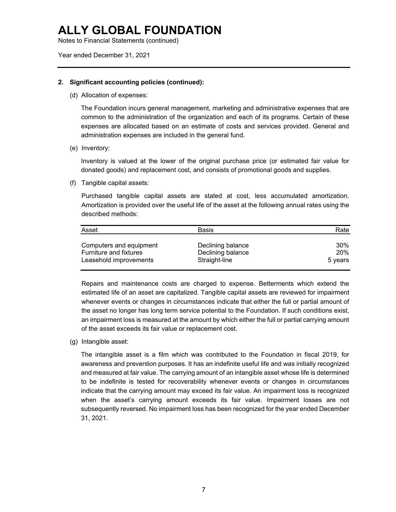Notes to Financial Statements (continued)

Year ended December 31, 2021

#### **2. Significant accounting policies (continued):**

(d) Allocation of expenses:

The Foundation incurs general management, marketing and administrative expenses that are common to the administration of the organization and each of its programs. Certain of these expenses are allocated based on an estimate of costs and services provided. General and administration expenses are included in the general fund.

(e) Inventory:

Inventory is valued at the lower of the original purchase price (or estimated fair value for donated goods) and replacement cost, and consists of promotional goods and supplies.

(f) Tangible capital assets:

Purchased tangible capital assets are stated at cost, less accumulated amortization. Amortization is provided over the useful life of the asset at the following annual rates using the described methods:

| Asset                         | <b>Basis</b>      | Rate       |
|-------------------------------|-------------------|------------|
| Computers and equipment       | Declining balance | 30%        |
| <b>Furniture and fixtures</b> | Declining balance | <b>20%</b> |
| Leasehold improvements        | Straight-line     | 5 years    |

Repairs and maintenance costs are charged to expense. Betterments which extend the estimated life of an asset are capitalized. Tangible capital assets are reviewed for impairment whenever events or changes in circumstances indicate that either the full or partial amount of the asset no longer has long term service potential to the Foundation. If such conditions exist, an impairment loss is measured at the amount by which either the full or partial carrying amount of the asset exceeds its fair value or replacement cost.

(g) Intangible asset:

The intangible asset is a film which was contributed to the Foundation in fiscal 2019, for awareness and prevention purposes. It has an indefinite useful life and was initially recognized and measured at fair value. The carrying amount of an intangible asset whose life is determined to be indefinite is tested for recoverability whenever events or changes in circumstances indicate that the carrying amount may exceed its fair value. An impairment loss is recognized when the asset's carrying amount exceeds its fair value. Impairment losses are not subsequently reversed. No impairment loss has been recognized for the year ended December 31, 2021.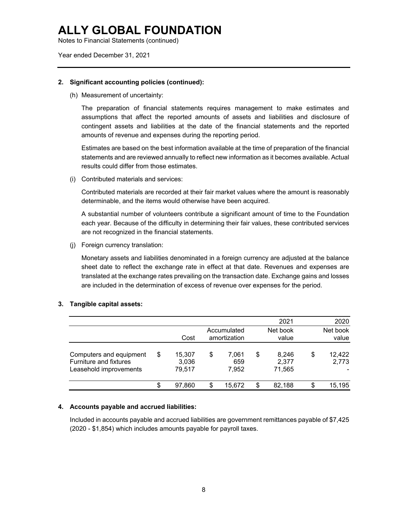Notes to Financial Statements (continued)

Year ended December 31, 2021

#### **2. Significant accounting policies (continued):**

(h) Measurement of uncertainty:

The preparation of financial statements requires management to make estimates and assumptions that affect the reported amounts of assets and liabilities and disclosure of contingent assets and liabilities at the date of the financial statements and the reported amounts of revenue and expenses during the reporting period.

Estimates are based on the best information available at the time of preparation of the financial statements and are reviewed annually to reflect new information as it becomes available. Actual results could differ from those estimates.

(i) Contributed materials and services:

Contributed materials are recorded at their fair market values where the amount is reasonably determinable, and the items would otherwise have been acquired.

A substantial number of volunteers contribute a significant amount of time to the Foundation each year. Because of the difficulty in determining their fair values, these contributed services are not recognized in the financial statements.

(j) Foreign currency translation:

Monetary assets and liabilities denominated in a foreign currency are adjusted at the balance sheet date to reflect the exchange rate in effect at that date. Revenues and expenses are translated at the exchange rates prevailing on the transaction date. Exchange gains and losses are included in the determination of excess of revenue over expenses for the period.

|                                                                                    | Cost                            |    | Accumulated<br>amortization | 2021<br>Net book<br>value      | 2020<br>Net book<br>value |
|------------------------------------------------------------------------------------|---------------------------------|----|-----------------------------|--------------------------------|---------------------------|
| Computers and equipment<br><b>Furniture and fixtures</b><br>Leasehold improvements | \$<br>15.307<br>3,036<br>79,517 | \$ | 7,061<br>659<br>7,952       | \$<br>8,246<br>2,377<br>71,565 | \$<br>12,422<br>2,773     |
|                                                                                    | \$<br>97.860                    | S  | 15,672                      | \$<br>82,188                   | \$<br>15,195              |

#### **3. Tangible capital assets:**

#### **4. Accounts payable and accrued liabilities:**

Included in accounts payable and accrued liabilities are government remittances payable of \$7,425 (2020 - \$1,854) which includes amounts payable for payroll taxes.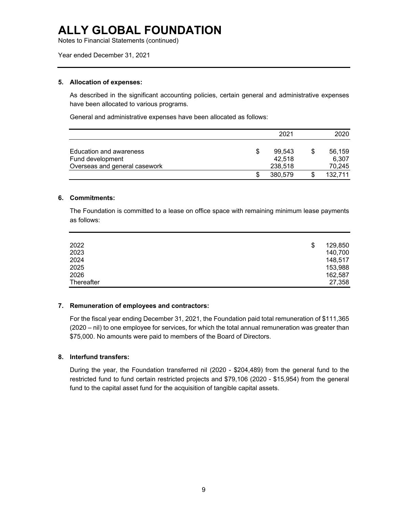Notes to Financial Statements (continued)

Year ended December 31, 2021

#### **5. Allocation of expenses:**

As described in the significant accounting policies, certain general and administrative expenses have been allocated to various programs.

General and administrative expenses have been allocated as follows:

|                                             |   | 2021             | 2020            |
|---------------------------------------------|---|------------------|-----------------|
| Education and awareness<br>Fund development | S | 99.543<br>42,518 | 56,159<br>6,307 |
| Overseas and general casework               |   | 238,518          | 70,245          |
|                                             |   | 380,579          | 132,711         |

#### **6. Commitments:**

The Foundation is committed to a lease on office space with remaining minimum lease payments as follows:

| 2022       | \$<br>129,850 |
|------------|---------------|
| 2023       | 140,700       |
| 2024       | 148,517       |
| 2025       | 153,988       |
| 2026       | 162,587       |
| Thereafter | 27,358        |

#### **7. Remuneration of employees and contractors:**

For the fiscal year ending December 31, 2021, the Foundation paid total remuneration of \$111,365 (2020 – nil) to one employee for services, for which the total annual remuneration was greater than \$75,000. No amounts were paid to members of the Board of Directors.

#### **8. Interfund transfers:**

During the year, the Foundation transferred nil (2020 - \$204,489) from the general fund to the restricted fund to fund certain restricted projects and \$79,106 (2020 - \$15,954) from the general fund to the capital asset fund for the acquisition of tangible capital assets.